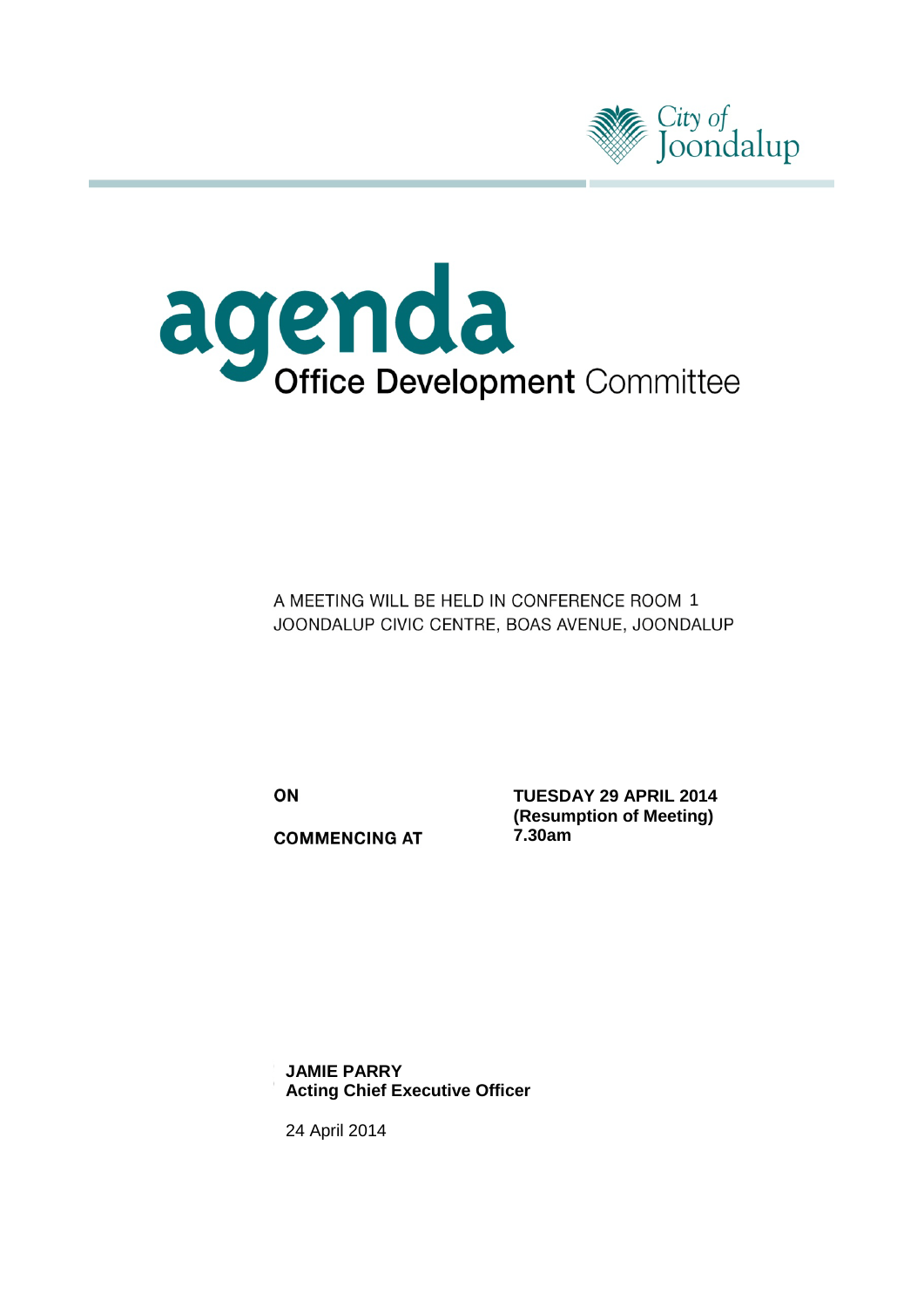



A MEETING WILL BE HELD IN CONFERENCE ROOM 1 JOONDALUP CIVIC CENTRE, BOAS AVENUE, JOONDALUP

ON

**COMMENCING AT** 

**TUESDAY 29 APRIL 2014 (Resumption of Meeting) 7.30am**

24 April 2014 **JAMIE PARRY Acting Chief Executive Officer**

24 April 2014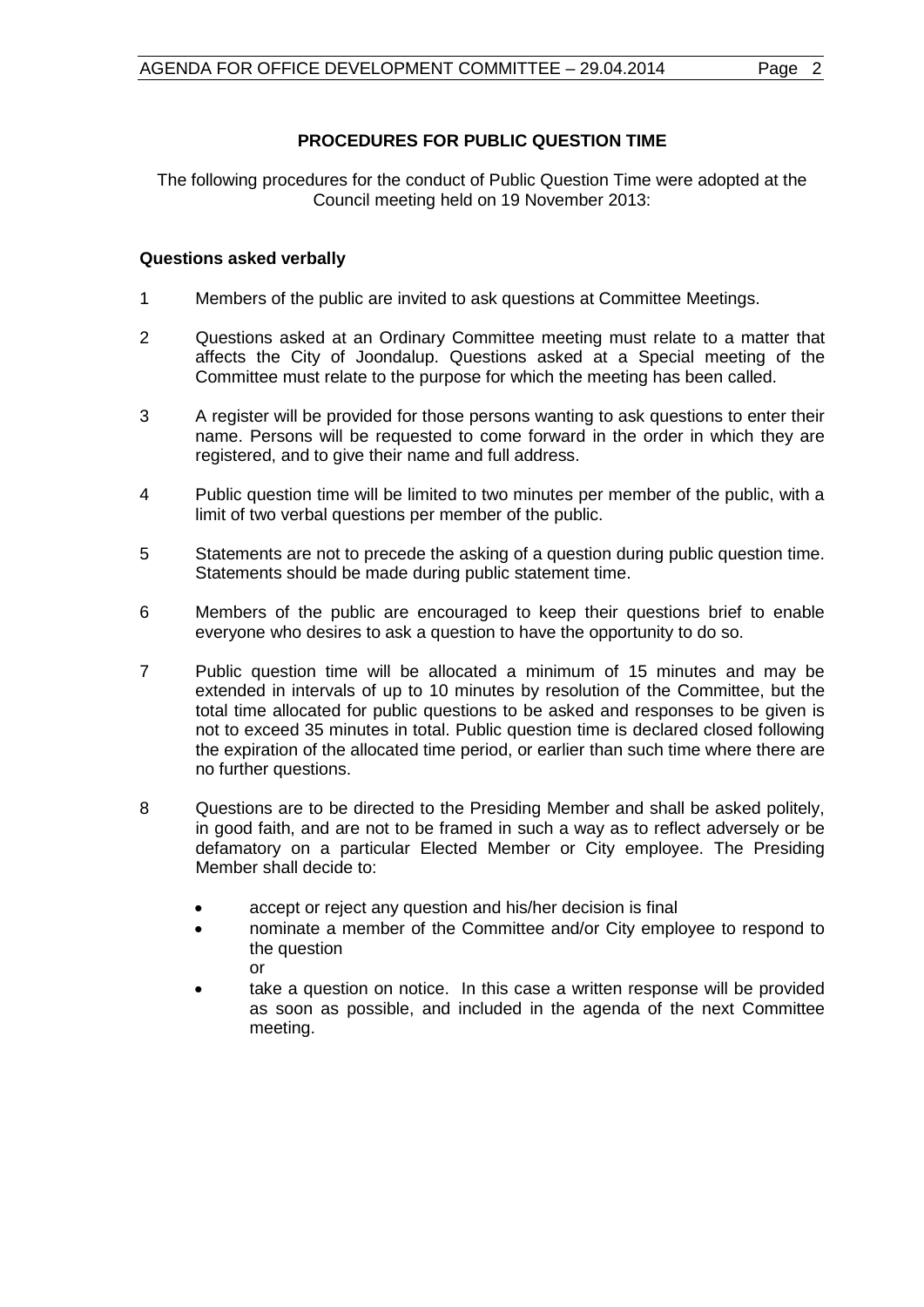### **PROCEDURES FOR PUBLIC QUESTION TIME**

The following procedures for the conduct of Public Question Time were adopted at the Council meeting held on 19 November 2013:

### **Questions asked verbally**

- 1 Members of the public are invited to ask questions at Committee Meetings.
- 2 Questions asked at an Ordinary Committee meeting must relate to a matter that affects the City of Joondalup. Questions asked at a Special meeting of the Committee must relate to the purpose for which the meeting has been called.
- 3 A register will be provided for those persons wanting to ask questions to enter their name. Persons will be requested to come forward in the order in which they are registered, and to give their name and full address.
- 4 Public question time will be limited to two minutes per member of the public, with a limit of two verbal questions per member of the public.
- 5 Statements are not to precede the asking of a question during public question time. Statements should be made during public statement time.
- 6 Members of the public are encouraged to keep their questions brief to enable everyone who desires to ask a question to have the opportunity to do so.
- 7 Public question time will be allocated a minimum of 15 minutes and may be extended in intervals of up to 10 minutes by resolution of the Committee, but the total time allocated for public questions to be asked and responses to be given is not to exceed 35 minutes in total. Public question time is declared closed following the expiration of the allocated time period, or earlier than such time where there are no further questions.
- 8 Questions are to be directed to the Presiding Member and shall be asked politely, in good faith, and are not to be framed in such a way as to reflect adversely or be defamatory on a particular Elected Member or City employee. The Presiding Member shall decide to:
	- accept or reject any question and his/her decision is final
	- nominate a member of the Committee and/or City employee to respond to the question or
	- take a question on notice. In this case a written response will be provided as soon as possible, and included in the agenda of the next Committee meeting.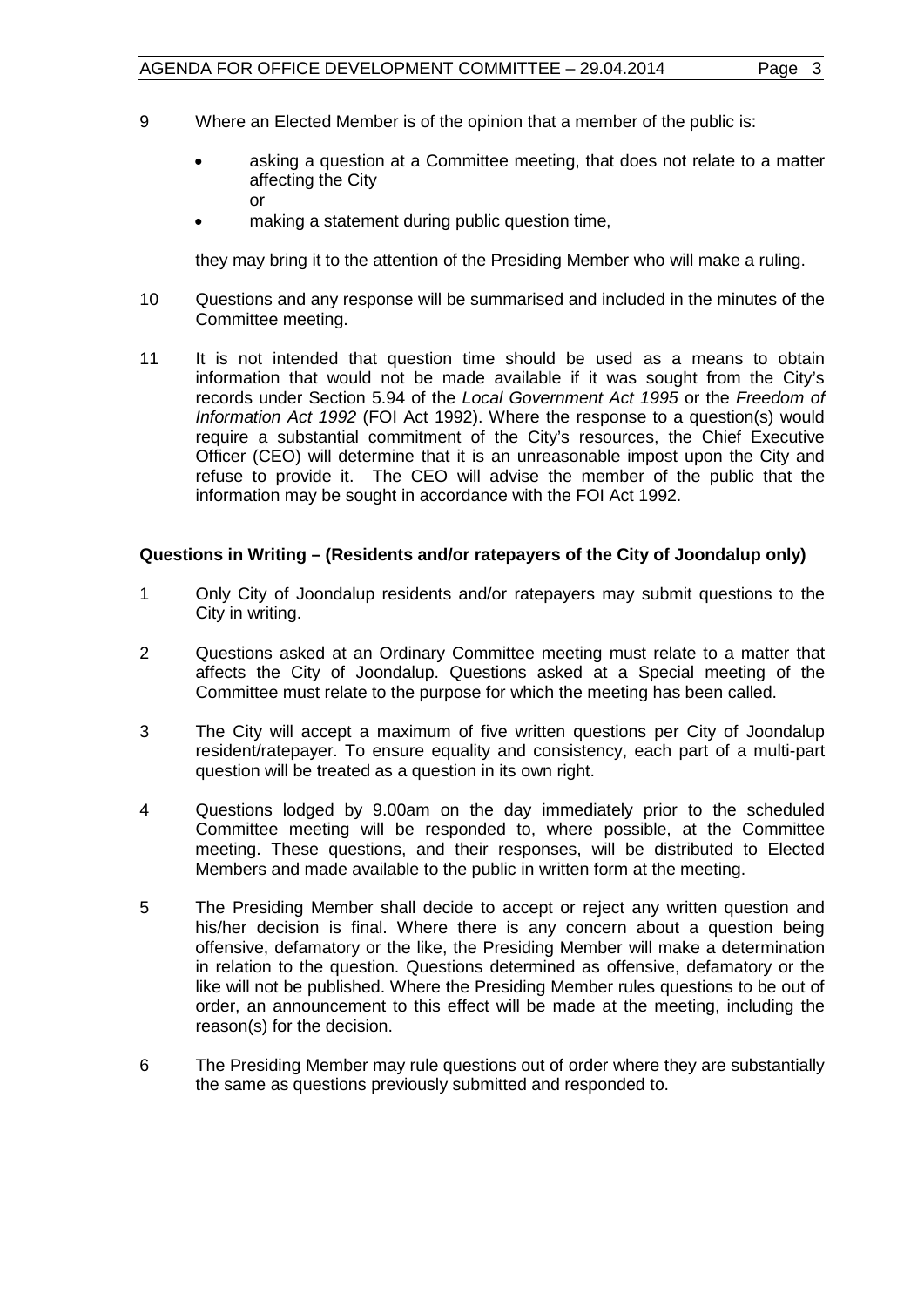- 9 Where an Elected Member is of the opinion that a member of the public is:
	- asking a question at a Committee meeting, that does not relate to a matter affecting the City or
	- making a statement during public question time,

they may bring it to the attention of the Presiding Member who will make a ruling.

- 10 Questions and any response will be summarised and included in the minutes of the Committee meeting.
- 11 It is not intended that question time should be used as a means to obtain information that would not be made available if it was sought from the City's records under Section 5.94 of the *Local Government Act 1995* or the *Freedom of Information Act 1992* (FOI Act 1992). Where the response to a question(s) would require a substantial commitment of the City's resources, the Chief Executive Officer (CEO) will determine that it is an unreasonable impost upon the City and refuse to provide it. The CEO will advise the member of the public that the information may be sought in accordance with the FOI Act 1992.

#### **Questions in Writing – (Residents and/or ratepayers of the City of Joondalup only)**

- 1 Only City of Joondalup residents and/or ratepayers may submit questions to the City in writing.
- 2 Questions asked at an Ordinary Committee meeting must relate to a matter that affects the City of Joondalup. Questions asked at a Special meeting of the Committee must relate to the purpose for which the meeting has been called.
- 3 The City will accept a maximum of five written questions per City of Joondalup resident/ratepayer. To ensure equality and consistency, each part of a multi-part question will be treated as a question in its own right.
- 4 Questions lodged by 9.00am on the day immediately prior to the scheduled Committee meeting will be responded to, where possible, at the Committee meeting. These questions, and their responses, will be distributed to Elected Members and made available to the public in written form at the meeting.
- 5 The Presiding Member shall decide to accept or reject any written question and his/her decision is final. Where there is any concern about a question being offensive, defamatory or the like, the Presiding Member will make a determination in relation to the question. Questions determined as offensive, defamatory or the like will not be published. Where the Presiding Member rules questions to be out of order, an announcement to this effect will be made at the meeting, including the reason(s) for the decision.
- 6 The Presiding Member may rule questions out of order where they are substantially the same as questions previously submitted and responded to.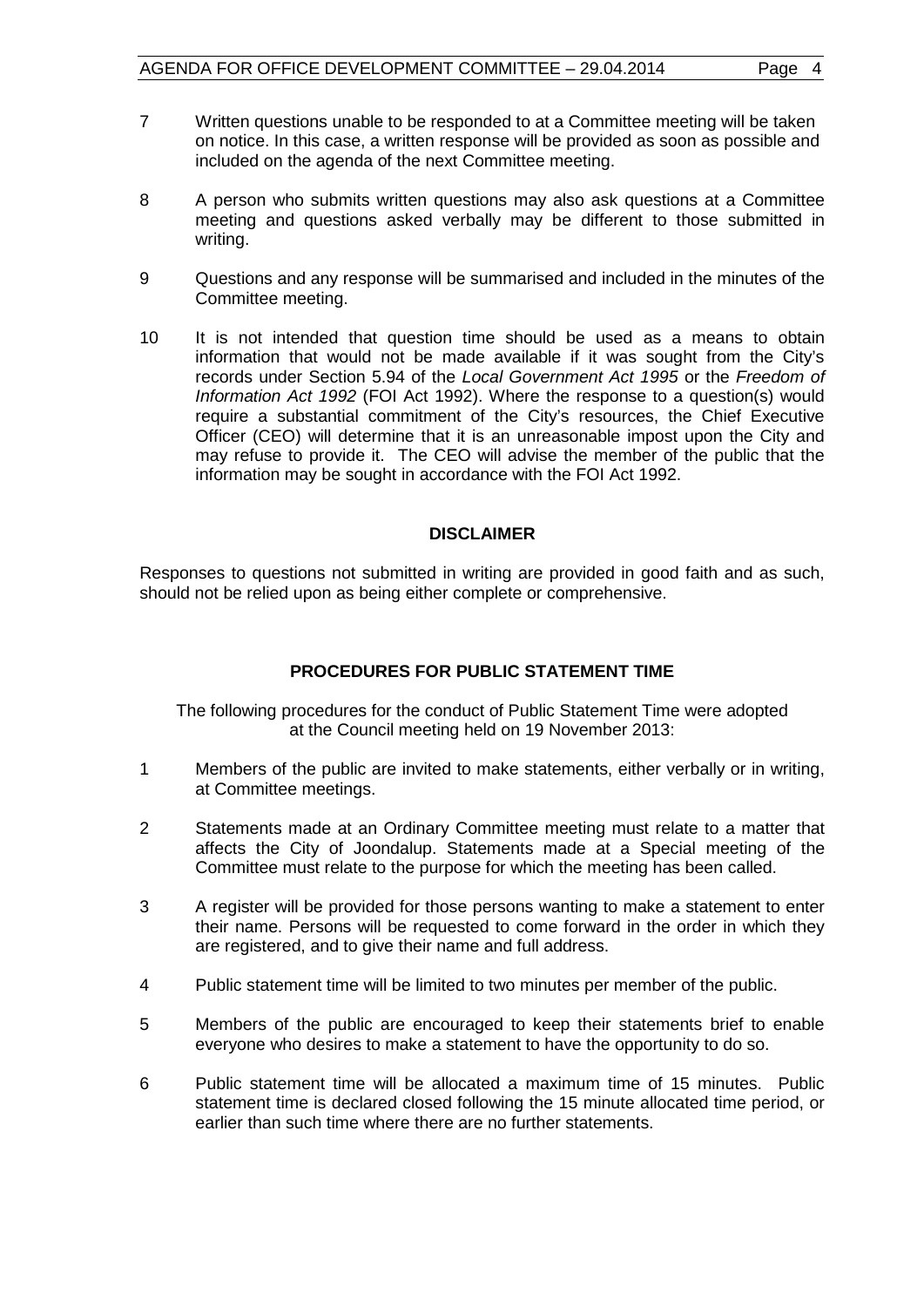- 7 Written questions unable to be responded to at a Committee meeting will be taken on notice. In this case, a written response will be provided as soon as possible and included on the agenda of the next Committee meeting.
- 8 A person who submits written questions may also ask questions at a Committee meeting and questions asked verbally may be different to those submitted in writing.
- 9 Questions and any response will be summarised and included in the minutes of the Committee meeting.
- 10 It is not intended that question time should be used as a means to obtain information that would not be made available if it was sought from the City's records under Section 5.94 of the *Local Government Act 1995* or the *Freedom of Information Act 1992* (FOI Act 1992). Where the response to a question(s) would require a substantial commitment of the City's resources, the Chief Executive Officer (CEO) will determine that it is an unreasonable impost upon the City and may refuse to provide it. The CEO will advise the member of the public that the information may be sought in accordance with the FOI Act 1992.

#### **DISCLAIMER**

Responses to questions not submitted in writing are provided in good faith and as such, should not be relied upon as being either complete or comprehensive.

### **PROCEDURES FOR PUBLIC STATEMENT TIME**

The following procedures for the conduct of Public Statement Time were adopted at the Council meeting held on 19 November 2013:

- 1 Members of the public are invited to make statements, either verbally or in writing, at Committee meetings.
- 2 Statements made at an Ordinary Committee meeting must relate to a matter that affects the City of Joondalup. Statements made at a Special meeting of the Committee must relate to the purpose for which the meeting has been called.
- 3 A register will be provided for those persons wanting to make a statement to enter their name. Persons will be requested to come forward in the order in which they are registered, and to give their name and full address.
- 4 Public statement time will be limited to two minutes per member of the public.
- 5 Members of the public are encouraged to keep their statements brief to enable everyone who desires to make a statement to have the opportunity to do so.
- 6 Public statement time will be allocated a maximum time of 15 minutes. Public statement time is declared closed following the 15 minute allocated time period, or earlier than such time where there are no further statements.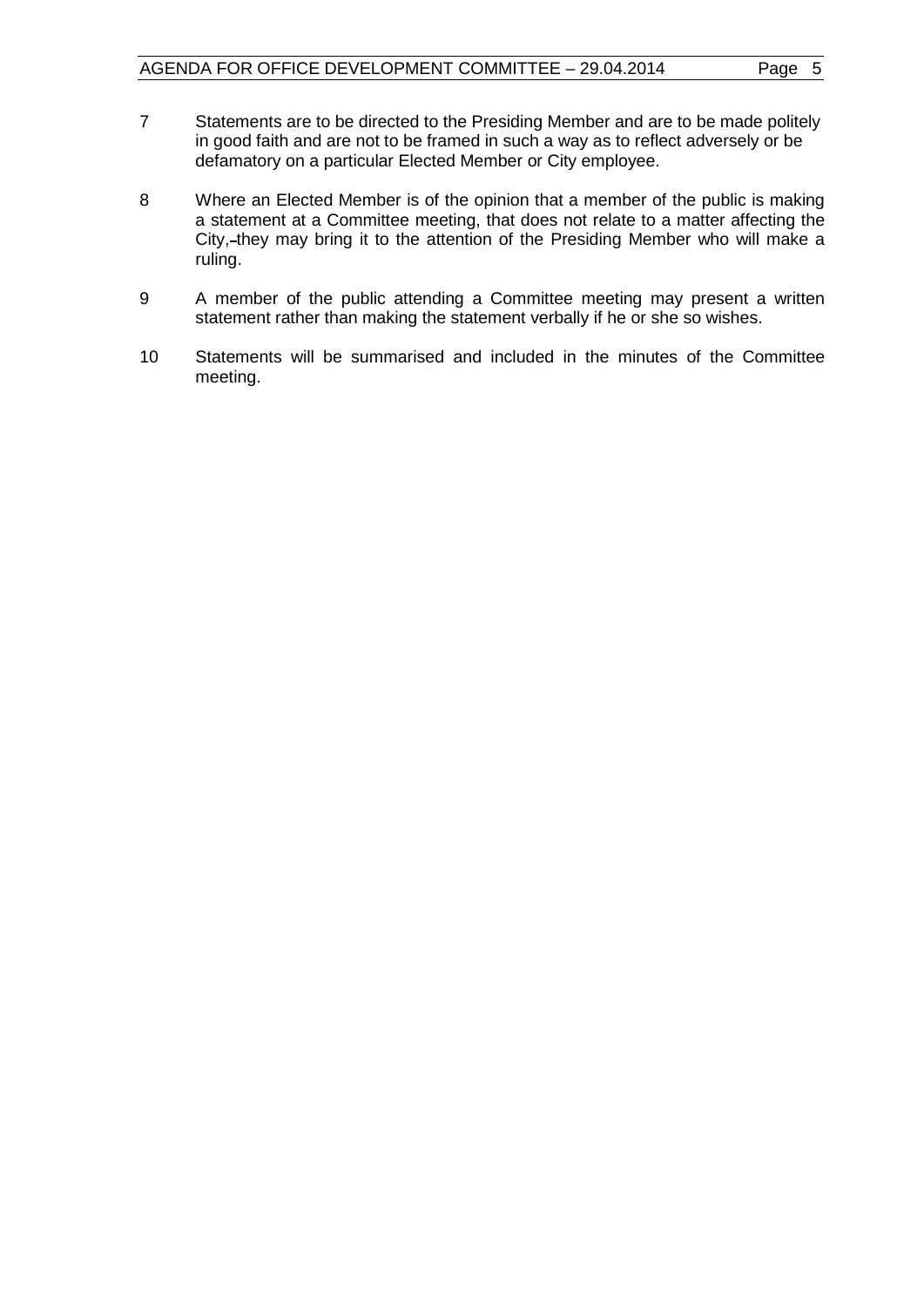- 7 Statements are to be directed to the Presiding Member and are to be made politely in good faith and are not to be framed in such a way as to reflect adversely or be defamatory on a particular Elected Member or City employee.
- 8 Where an Elected Member is of the opinion that a member of the public is making a statement at a Committee meeting, that does not relate to a matter affecting the City,-they may bring it to the attention of the Presiding Member who will make a ruling.
- 9 A member of the public attending a Committee meeting may present a written statement rather than making the statement verbally if he or she so wishes.
- 10 Statements will be summarised and included in the minutes of the Committee meeting.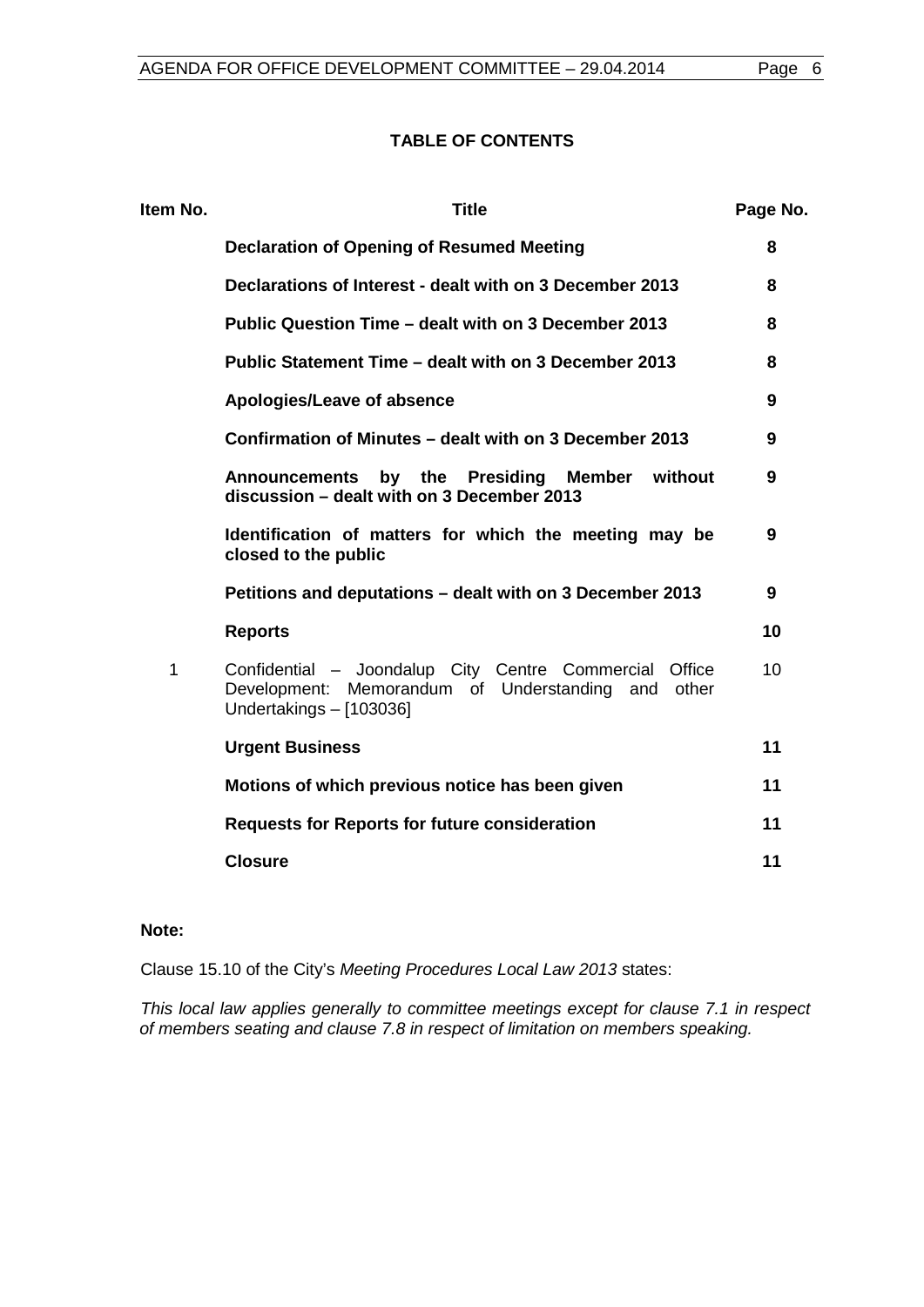#### **TABLE OF CONTENTS**

| Item No. | <b>Title</b>                                                                                                                                  | Page No. |
|----------|-----------------------------------------------------------------------------------------------------------------------------------------------|----------|
|          | Declaration of Opening of Resumed Meeting                                                                                                     | 8        |
|          | Declarations of Interest - dealt with on 3 December 2013                                                                                      | 8        |
|          | Public Question Time – dealt with on 3 December 2013                                                                                          | 8        |
|          | Public Statement Time – dealt with on 3 December 2013                                                                                         | 8        |
|          | Apologies/Leave of absence                                                                                                                    | 9        |
|          | Confirmation of Minutes – dealt with on 3 December 2013                                                                                       | 9        |
|          | by the Presiding<br>Member without<br><b>Announcements</b><br>discussion - dealt with on 3 December 2013                                      | 9        |
|          | Identification of matters for which the meeting may be<br>closed to the public                                                                | 9        |
|          | Petitions and deputations - dealt with on 3 December 2013                                                                                     | 9        |
|          | <b>Reports</b>                                                                                                                                | 10       |
| 1        | Confidential - Joondalup City Centre Commercial<br>Office<br>Development: Memorandum of Understanding and<br>other<br>Undertakings - [103036] | 10       |
|          | <b>Urgent Business</b>                                                                                                                        | 11       |
|          | Motions of which previous notice has been given                                                                                               | 11       |
|          | <b>Requests for Reports for future consideration</b>                                                                                          | 11       |
|          | <b>Closure</b>                                                                                                                                | 11       |
|          |                                                                                                                                               |          |

### **Note:**

Clause 15.10 of the City's *Meeting Procedures Local Law 2013* states:

*This local law applies generally to committee meetings except for clause 7.1 in respect of members seating and clause 7.8 in respect of limitation on members speaking.*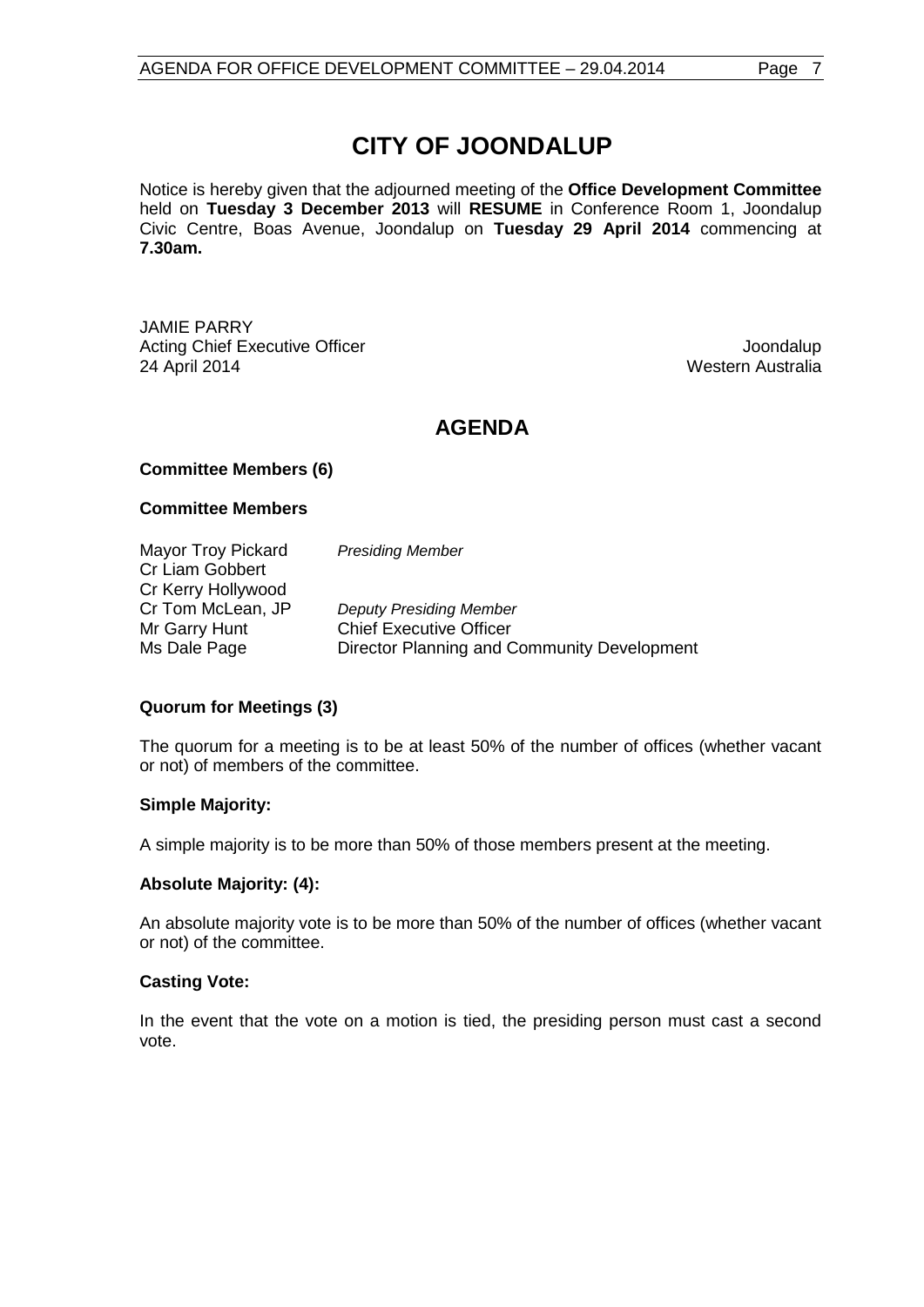# **CITY OF JOONDALUP**

Notice is hereby given that the adjourned meeting of the **Office Development Committee** held on **Tuesday 3 December 2013** will **RESUME** in Conference Room 1, Joondalup Civic Centre, Boas Avenue, Joondalup on **Tuesday 29 April 2014** commencing at **7.30am.**

JAMIE PARRY Acting Chief Executive Officer **Joondalup** Joondalup 24 April 2014 Western Australia

# **AGENDA**

### **Committee Members (6)**

#### **Committee Members**

Mayor Troy Pickard *Presiding Member* Cr Liam Gobbert Cr Kerry Hollywood<br>Cr Tom McLean, JP **Deputy Presiding Member** Mr Garry Hunt Chief Executive Officer Ms Dale Page **Director Planning and Community Development** 

### **Quorum for Meetings (3)**

The quorum for a meeting is to be at least 50% of the number of offices (whether vacant or not) of members of the committee.

#### **Simple Majority:**

A simple majority is to be more than 50% of those members present at the meeting.

### **Absolute Majority: (4):**

An absolute majority vote is to be more than 50% of the number of offices (whether vacant or not) of the committee.

#### **Casting Vote:**

In the event that the vote on a motion is tied, the presiding person must cast a second vote.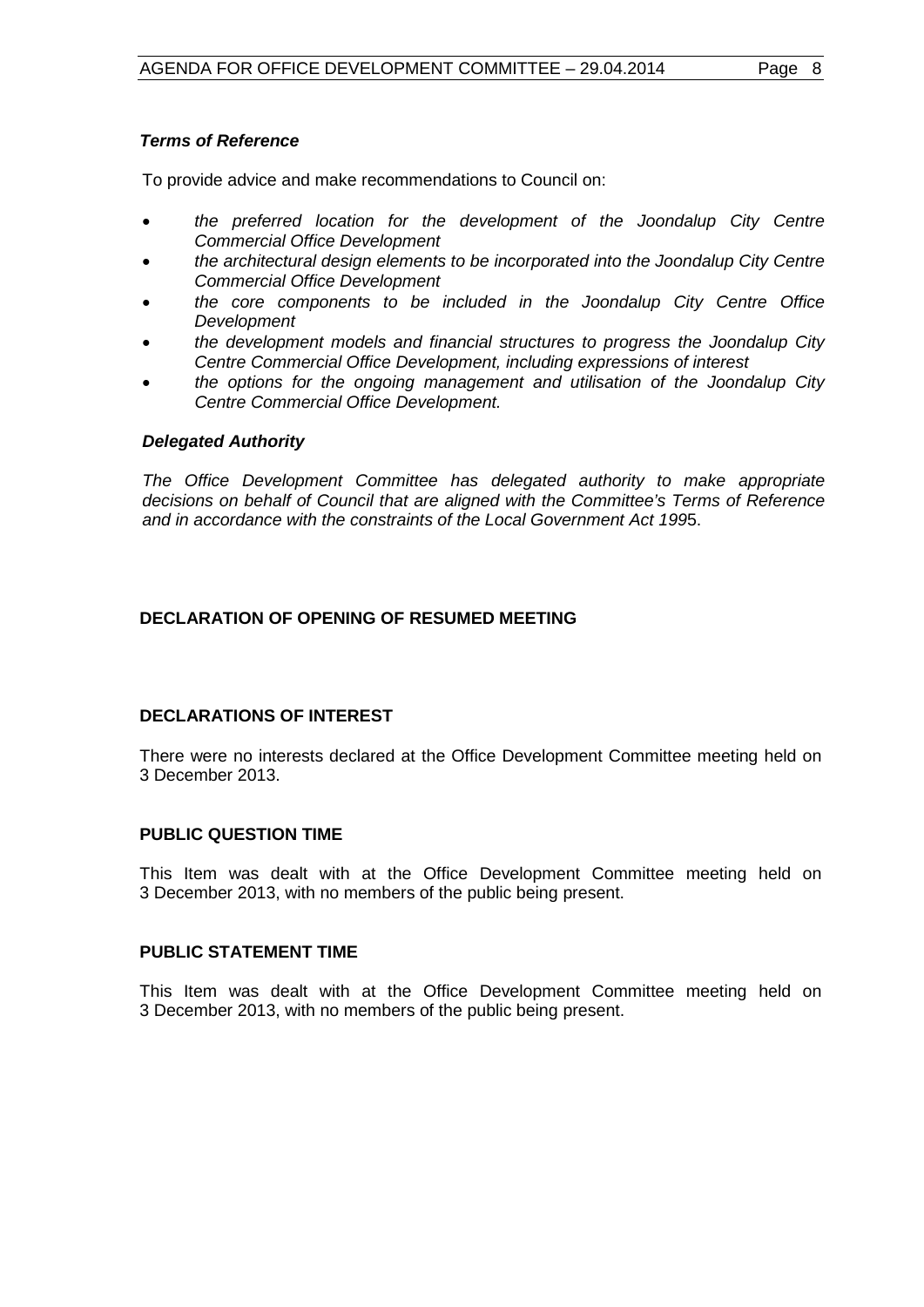# *Terms of Reference*

To provide advice and make recommendations to Council on:

- *the preferred location for the development of the Joondalup City Centre Commercial Office Development*
- *the architectural design elements to be incorporated into the Joondalup City Centre Commercial Office Development*
- *the core components to be included in the Joondalup City Centre Office Development*
- *the development models and financial structures to progress the Joondalup City Centre Commercial Office Development, including expressions of interest*
- *the options for the ongoing management and utilisation of the Joondalup City Centre Commercial Office Development.*

# *Delegated Authority*

*The Office Development Committee has delegated authority to make appropriate decisions on behalf of Council that are aligned with the Committee's Terms of Reference and in accordance with the constraints of the Local Government Act 199*5.

# <span id="page-7-0"></span>**DECLARATION OF OPENING OF RESUMED MEETING**

# <span id="page-7-1"></span>**DECLARATIONS OF INTEREST**

There were no interests declared at the Office Development Committee meeting held on 3 December 2013.

# <span id="page-7-2"></span>**PUBLIC QUESTION TIME**

This Item was dealt with at the Office Development Committee meeting held on 3 December 2013, with no members of the public being present.

## <span id="page-7-3"></span>**PUBLIC STATEMENT TIME**

This Item was dealt with at the Office Development Committee meeting held on 3 December 2013, with no members of the public being present.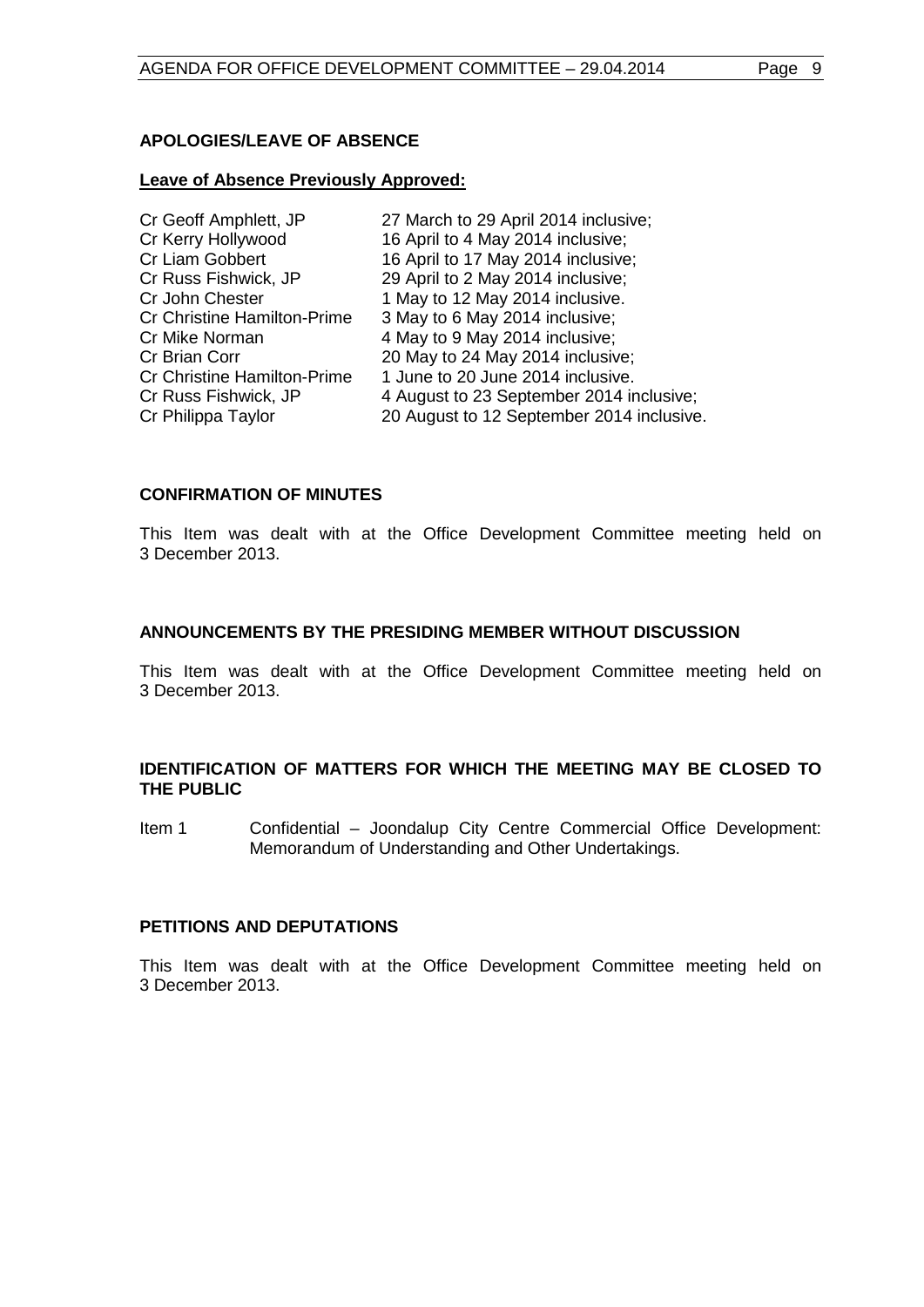### <span id="page-8-0"></span>**APOLOGIES/LEAVE OF ABSENCE**

#### **Leave of Absence Previously Approved:**

| Cr Geoff Amphlett, JP              | 27 March to 29 April 2014 inclusive;      |
|------------------------------------|-------------------------------------------|
| Cr Kerry Hollywood                 | 16 April to 4 May 2014 inclusive;         |
| <b>Cr Liam Gobbert</b>             | 16 April to 17 May 2014 inclusive;        |
| Cr Russ Fishwick, JP               | 29 April to 2 May 2014 inclusive;         |
| Cr John Chester                    | 1 May to 12 May 2014 inclusive.           |
| <b>Cr Christine Hamilton-Prime</b> | 3 May to 6 May 2014 inclusive;            |
| Cr Mike Norman                     | 4 May to 9 May 2014 inclusive;            |
| <b>Cr Brian Corr</b>               | 20 May to 24 May 2014 inclusive;          |
| <b>Cr Christine Hamilton-Prime</b> | 1 June to 20 June 2014 inclusive.         |
| Cr Russ Fishwick, JP               | 4 August to 23 September 2014 inclusive;  |
| Cr Philippa Taylor                 | 20 August to 12 September 2014 inclusive. |

#### <span id="page-8-1"></span>**CONFIRMATION OF MINUTES**

This Item was dealt with at the Office Development Committee meeting held on 3 December 2013.

#### <span id="page-8-2"></span>**ANNOUNCEMENTS BY THE PRESIDING MEMBER WITHOUT DISCUSSION**

This Item was dealt with at the Office Development Committee meeting held on 3 December 2013.

### <span id="page-8-3"></span>**IDENTIFICATION OF MATTERS FOR WHICH THE MEETING MAY BE CLOSED TO THE PUBLIC**

Item 1 Confidential – Joondalup City Centre Commercial Office Development: Memorandum of Understanding and Other Undertakings.

### <span id="page-8-4"></span>**PETITIONS AND DEPUTATIONS**

This Item was dealt with at the Office Development Committee meeting held on 3 December 2013.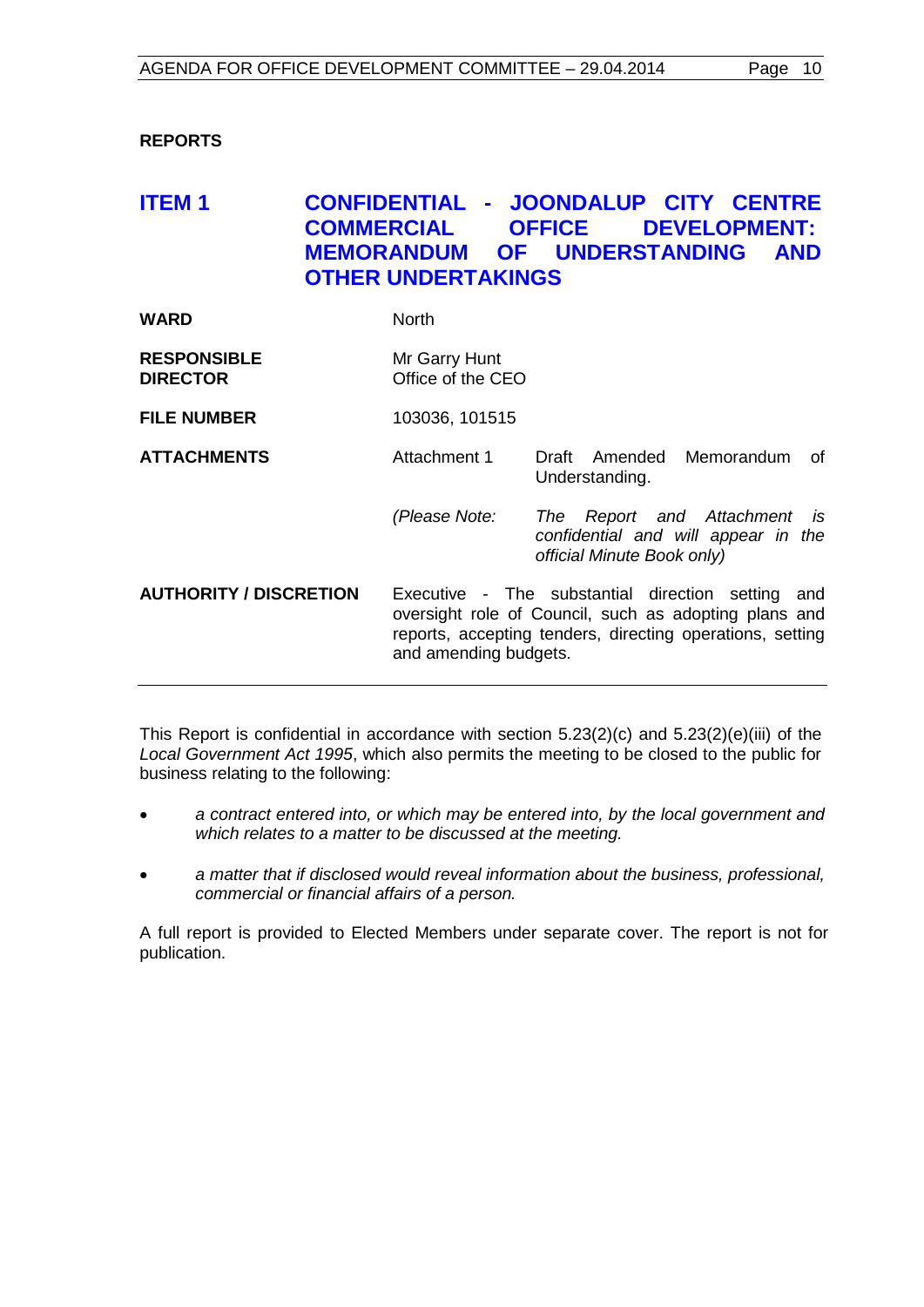### <span id="page-9-0"></span>**REPORTS**

# <span id="page-9-1"></span>**ITEM 1 CONFIDENTIAL - JOONDALUP CITY CENTRE COMMERCIAL OFFICE DEVELOPMENT: MEMORANDUM OF UNDERSTANDING AND OTHER UNDERTAKINGS**

| WARD | <b>North</b> |
|------|--------------|
|      |              |

| <b>RESPONSIBLE</b> | Mr Garry Hunt     |
|--------------------|-------------------|
| <b>DIRECTOR</b>    | Office of the CEO |

**FILE NUMBER** 103036, 101515

- **ATTACHMENTS** Attachment 1 Draft Amended Memorandum of Understanding.
	- *(Please Note: The Report and Attachment is confidential and will appear in the official Minute Book only)*
- **AUTHORITY / DISCRETION** Executive The substantial direction setting and oversight role of Council, such as adopting plans and reports, accepting tenders, directing operations, setting and amending budgets.

This Report is confidential in accordance with section 5.23(2)(c) and 5.23(2)(e)(iii) of the *Local Government Act 1995*, which also permits the meeting to be closed to the public for business relating to the following:

- *a contract entered into, or which may be entered into, by the local government and which relates to a matter to be discussed at the meeting.*
- *a matter that if disclosed would reveal information about the business, professional, commercial or financial affairs of a person.*

A full report is provided to Elected Members under separate cover. The report is not for publication.